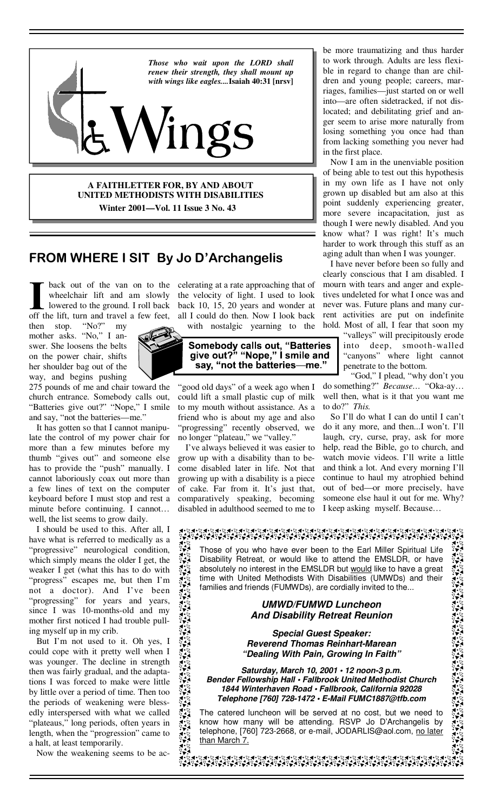

**A FAITHLETTER FOR, BY AND ABOUT UNITED METHODISTS WITH DISABILITIES Winter 2001—Vol. 11 Issue 3 No. 43** 

## **FROM WHERE I SIT By Jo D'Archangelis**

wheelchair lift and am slowly lowered to the ground. I roll back off the lift, turn and travel a few feet,

then stop. "No?" my mother asks. "No," I answer. She loosens the belts on the power chair, shifts her shoulder bag out of the way, and begins pushing



275 pounds of me and chair toward the church entrance. Somebody calls out, "Batteries give out?" "Nope," I smile and say, "not the batteries—me."

 It has gotten so that I cannot manipulate the control of my power chair for more than a few minutes before my thumb "gives out" and someone else has to provide the "push" manually. I cannot laboriously coax out more than a few lines of text on the computer keyboard before I must stop and rest a minute before continuing. I cannot… well, the list seems to grow daily.

 I should be used to this. After all, I have what is referred to medically as a "progressive" neurological condition, which simply means the older I get, the weaker I get (what this has to do with "progress" escapes me, but then I'm not a doctor). And I've been "progressing" for years and years, since I was 10-months-old and my mother first noticed I had trouble pulling myself up in my crib.

 But I'm not used to it. Oh yes, I could cope with it pretty well when I was younger. The decline in strength then was fairly gradual, and the adaptations I was forced to make were little by little over a period of time. Then too the periods of weakening were blessedly interspersed with what we called "plateaus," long periods, often years in length, when the "progression" came to a halt, at least temporarily.

्र्ू

Now the weakening seems to be ac-

back out of the van on to the celerating at a rate approaching that of the velocity of light. I used to look back 10, 15, 20 years and wonder at all I could do then. Now I look back with nostalgic yearning to the

# Somebody calls out, "Batteries<br>give out?" "Nope," I smile and say, "not the batteries-me."

"good old days" of a week ago when I could lift a small plastic cup of milk to my mouth without assistance. As a friend who is about my age and also 'progressing" recently observed, we no longer "plateau," we "valley."

 I've always believed it was easier to grow up with a disability than to become disabled later in life. Not that growing up with a disability is a piece of cake. Far from it. It's just that, comparatively speaking, becoming disabled in adulthood seemed to me to

be more traumatizing and thus harder to work through. Adults are less flexible in regard to change than are children and young people; careers, marriages, families—just started on or well into—are often sidetracked, if not dislocated; and debilitating grief and anger seem to arise more naturally from losing something you once had than from lacking something you never had in the first place.

 Now I am in the unenviable position of being able to test out this hypothesis in my own life as I have not only grown up disabled but am also at this point suddenly experiencing greater, more severe incapacitation, just as though I were newly disabled. And you know what? I was right! It's much harder to work through this stuff as an aging adult than when I was younger.

 I have never before been so fully and clearly conscious that I am disabled. I mourn with tears and anger and expletives undeleted for what I once was and never was. Future plans and many current activities are put on indefinite hold. Most of all, I fear that soon my

> 'valleys" will precipitously erode into deep, smooth-walled "canyons" where light cannot penetrate to the bottom.

 "God," I plead, "why don't you do something?" *Because…* "Oka-ay… well then, what is it that you want me to do?" *This.* 

So I'll do what I can do until I can't do it any more, and then...I won't. I'll laugh, cry, curse, pray, ask for more help, read the Bible, go to church, and watch movie videos. I'll write a little and think a lot. And every morning I'll continue to haul my atrophied behind out of bed—or more precisely, have someone else haul it out for me. Why? I keep asking myself. Because…

#### ⋖⋍⋪⋖⋥⋪⋎⋥⋪⋎⋤⋪⋎⋤⋪⋎⋤⋪⋎⋥⋪⋎⋤⋪⋎⋤⋪⋎⋥⋪⋎⋤⋪⋎⋥⋪⋎⋥⋪⋎⋤⋪⋎⋥⋪⋎⋤⋪⋎⋥⋪⋎⋥⋪⋎⋤⋪⋎⋤⋪⋎⋤⋪⋎⋤⋪⋎⋤⋪⋎⋤⋪⋎⋥⋪⋎<br>⋎⋥⋖⋖⋥⋖⋎⋥⋪⋎⋥⋪⋎⋥⋪⋎⋧⋪⋎⋧⋪⋎⋤⋪⋎⋤⋪⋎⋥⋪⋎⋧⋪⋎⋩⋪⋎⋤⋪⋎⋤⋪⋎⋥⋪⋎⋧⋪⋎⋧⋪⋎⋧⋪⋎⋤⋪⋎⋤⋪⋎⋤⋪⋎⋤⋪⋎⋤⋪⋎⋧

 $\sum_{i=1}^{n}$ Those of you who have ever been to the Earl Miller Spiritual Life Disability Retreat, or would like to attend the EMSLDR, or have absolutely no interest in the EMSLDR but would like to have a great  $5 - 3$ time with United Methodists With Disabilities (UMWDs) and their families and friends (FUMWDs), are cordially invited to the...

#### *UMWD/FUMWD Luncheon And Disability Retreat Reunion*

*Special Guest Speaker: Reverend Thomas Reinhart-Marean "Dealing With Pain, Growing In Faith"*

*Saturday, March 10, 2001 • 12 noon-3 p.m. Bender Fellowship Hall • Fallbrook United Methodist Church 1844 Winterhaven Road • Fallbrook, California 92028 Telephone [760] 728-1472 • E-Mail FUMC1887@tfb.com*

The catered luncheon will be served at no cost, but we need to know how many will be attending. RSVP Jo D'Archangelis by telephone, [760] 723-2668, or e-mail, JODARLIS@aol.com, no later than March 7.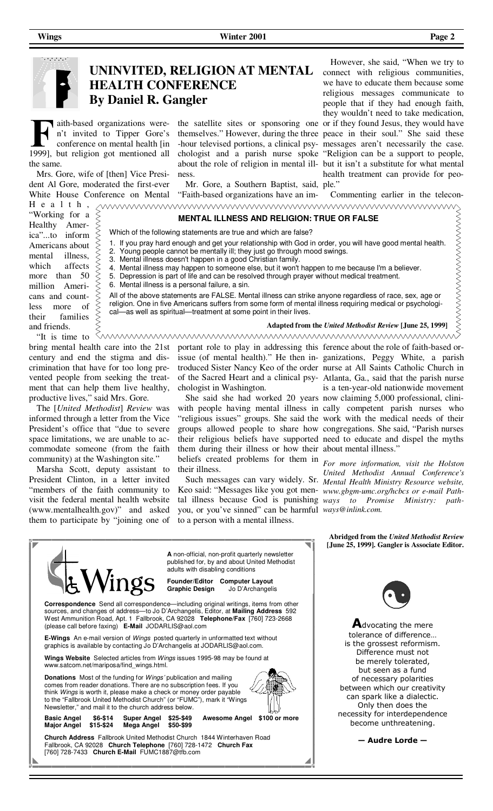

#### **UNINVITED, RELIGION AT MENTAL HEALTH CONFERENCE By Daniel R. Gangler**

aith-based organizations weren't invited to Tipper Gore's conference on mental health [in 1999], but religion got mentioned all the same.

 Mrs. Gore, wife of [then] Vice President Al Gore, moderated the first-ever White House Conference on Mental

H e a l t h , "Working for a Healthy America"...to inform Americans about mental illness, which affects more than 50 million Americans and countless more of their families and friends.

ness.

 Mr. Gore, a Southern Baptist, said, ple." "Faith-based organizations have an im-

the satellite sites or sponsoring one or if they found Jesus, they would have themselves." However, during the three peace in their soul." She said these -hour televised portions, a clinical psy-messages aren't necessarily the case. chologist and a parish nurse spoke "Religion can be a support to people, about the role of religion in mental ill-but it isn't a substitute for what mental However, she said, "When we try to connect with religious communities, we have to educate them because some religious messages communicate to people that if they had enough faith, they wouldn't need to take medication, health treatment can provide for peo-

Commenting earlier in the telecon-

#### **MENTAL ILLNESS AND RELIGION: TRUE OR FALSE**

- Which of the following statements are true and which are false?
- 1. If you pray hard enough and get your relationship with God in order, you will have good mental health.
- 2. Young people cannot be mentally ill; they just go through mood swings.
- 3. Mental illness doesn't happen in a good Christian family.
- 4. Mental illness may happen to someone else, but it won't happen to me because I'm a believer.
- 5. Depression is part of life and can be resolved through prayer without medical treatment. 6. Mental illness is a personal failure, a sin.
- 

All of the above statements are FALSE. Mental illness can strike anyone regardless of race, sex, age or religion. One in five Americans suffers from some form of mental illness requiring medical or psychological—as well as spiritual—treatment at some point in their lives.

 "It is time to bring mental health care into the 21st century and end the stigma and discrimination that have for too long prevented people from seeking the treatment that can help them live healthy, productive lives," said Mrs. Gore.

 The [*United Methodist*] *Review* was informed through a letter from the Vice President's office that "due to severe space limitations, we are unable to accommodate someone (from the faith community) at the Washington site."

 Marsha Scott, deputy assistant to President Clinton, in a letter invited "members of the faith community to visit the federal mental health website (www.mentalhealth.gov)" and asked them to participate by "joining one of

portant role to play in addressing this chologist in Washington. portant role to play in addressing this ference about the role of faith-based or-

 She said she had worked 20 years now claiming 5,000 professional, clinithem during their illness or how their about mental illness." beliefs created problems for them in *For more information, visit the Holston*  their illness.

Keo said: "Messages like you got men-*www.gbgm-umc.org/hcbcs or e-mail Path*tal illness because God is punishing *ways to Promise Ministry: path*you, or you've sinned" can be harmful *ways@inlink.com.*  to a person with a mental illness.

issue (of mental health)." He then in-ganizations, Peggy White, a parish troduced Sister Nancy Keo of the order nurse at All Saints Catholic Church in of the Sacred Heart and a clinical psy-Atlanta, Ga., said that the parish nurse with people having mental illness in cally competent parish nurses who "religious issues" groups. She said the work with the medical needs of their groups allowed people to share how congregations. She said, "Parish nurses their religious beliefs have supported need to educate and dispel the myths is a ten-year-old nationwide movement

**Adapted from the** *United Methodist Review* **[June 25, 1999]**

 Such messages can vary widely. Sr. *Mental Health Ministry Resource website, United Methodist Annual Conference's* 

> **Abridged from the** *United Methodist Review* **[June 25, 1999]. Gangler is Associate Editor.**

**A** non-official, non-profit quarterly newsletter published for, by and about United Methodist adults with disabling conditions 'ings **Founder/Editor Computer Layout Graphic Design Correspondence** Send all correspondence—including original writings, items from other sources, and changes of address—to Jo D'Archangelis, Editor, at **Mailing Address** 592 West Ammunition Road, Apt. 1 Fallbrook, CA 92028 **Telephone/Fax** [760] 723-2668 (please call before faxing) **E-Mail** JODARLIS@aol.com **E-Wings** An e-mail version of Wings posted quarterly in unformatted text without graphics is available by contacting Jo D'Archangelis at JODARLIS@aol.com. **Wings Website** Selected articles from Wings issues 1995-98 may be found at www.satcom.net/mariposa/find\_wings.html. **Donations** Most of the funding for Wings' publication and mailing comes from reader donations. There are no subscription fees. If you think Wings is worth it, please make a check or money order payable to the "Fallbrook United Methodist Church" (or "FUMC"), mark it "Wings Newsletter," and mail it to the church address below. **Basic Angel \$6-\$14 Super Angel \$25-\$49 Awesome Angel \$100 or more Major Angel \$15-\$24 Mega Angel \$50-\$99 Church Address** Fallbrook United Methodist Church 1844 Winterhaven Road Fallbrook, CA 92028 **Church Telephone** [760] 728-1472 **Church Fax**  [760] 728-7433 **Church E-Mail** FUMC1887@tfb.com



**A**dvocating the mere tolerance of difference… is the grossest reformism. Difference must not be merely tolerated, but seen as a fund of necessary polarities between which our creativity can spark like a dialectic. Only then does the necessity for interdependence become unthreatening.

**— Audre Lorde —**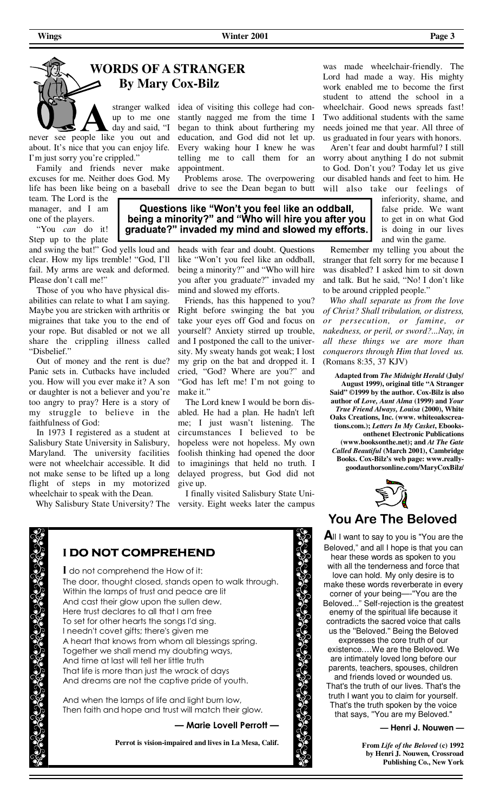# **WORDS OF A STRANGER By Mary Cox-Bilz**

stranger walked up to me one day and said, "I never see people like you out and

about. It's nice that you can enjoy life. I'm just sorry you're crippled." Family and friends never make

excuses for me. Neither does God. My life has been like being on a baseball

team. The Lord is the manager, and I am one of the players.

 "You *can* do it! Step up to the plate

and swing the bat!" God yells loud and clear. How my lips tremble! "God, I'll fail. My arms are weak and deformed. Please don't call me!"

 Those of you who have physical disabilities can relate to what I am saying. Maybe you are stricken with arthritis or migraines that take you to the end of your rope. But disabled or not we all share the crippling illness called "Disbelief."

 Out of money and the rent is due? Panic sets in. Cutbacks have included you. How will you ever make it? A son or daughter is not a believer and you're too angry to pray? Here is a story of my struggle to believe in the faithfulness of God:

 In 1973 I registered as a student at Salisbury State University in Salisbury, Maryland. The university facilities were not wheelchair accessible. It did not make sense to be lifted up a long flight of steps in my motorized wheelchair to speak with the Dean.

Why Salisbury State University? The

idea of visiting this college had constantly nagged me from the time I began to think about furthering my education, and God did not let up. Every waking hour I knew he was telling me to call them for an appointment.

 Problems arose. The overpowering drive to see the Dean began to butt

Questions like "Won't you feel like an oddball, being a minority?" and "Who will hire you after you graduate?" invaded my mind and slowed my efforts.

> heads with fear and doubt. Questions like "Won't you feel like an oddball, being a minority?" and "Who will hire you after you graduate?" invaded my mind and slowed my efforts.

> Friends, has this happened to you? Right before swinging the bat you take your eyes off God and focus on yourself? Anxiety stirred up trouble, and I postponed the call to the university. My sweaty hands got weak; I lost my grip on the bat and dropped it. I cried, "God? Where are you?" and "God has left me! I'm not going to make it."

> The Lord knew I would be born disabled. He had a plan. He hadn't left me; I just wasn't listening. The circumstances I believed to be hopeless were not hopeless. My own foolish thinking had opened the door to imaginings that held no truth. I delayed progress, but God did not give up.

 I finally visited Salisbury State University. Eight weeks later the campus

was made wheelchair-friendly. The Lord had made a way. His mighty work enabled me to become the first student to attend the school in a wheelchair. Good news spreads fast! Two additional students with the same needs joined me that year. All three of us graduated in four years with honors.

 Aren't fear and doubt harmful? I still worry about anything I do not submit to God. Don't you? Today let us give our disabled hands and feet to him. He will also take our feelings of

> inferiority, shame, and false pride. We want to get in on what God is doing in our lives and win the game.

 Remember my telling you about the stranger that felt sorry for me because I was disabled? I asked him to sit down and talk. But he said, "No! I don't like to be around crippled people."

 *Who shall separate us from the love of Christ? Shall tribulation, or distress, or persecution, or famine, or nakedness, or peril, or sword?...Nay, in all these things we are more than conquerors through Him that loved us.* (Romans 8:35, 37 KJV)

**Adapted from** *The Midnight Herald* **(July/ August 1999), original title "A Stranger Said" ©1999 by the author. Cox-Bilz is also author of** *Love, Aunt Alma* **(1999) and** *Your True Friend Always, Louisa* **(2000), White Oaks Creations, Inc. (www. whiteoakscreations.com.);** *Letters In My Casket***, Ebooksonthenet Electronic Publications (www.booksonthe.net); and** *At The Gate Called Beautiful* **(March 2001), Cambridge Books. Cox-Bilz's web page: www.reallygoodauthorsonline.com/MaryCoxBilz/**



### **You Are The Beloved**

**A**ll I want to say to you is "You are the Beloved," and all I hope is that you can hear these words as spoken to you with all the tenderness and force that love can hold. My only desire is to make these words reverberate in every corner of your being—-''You are the Beloved..." Self-rejection is the greatest enemy of the spiritual life because it contradicts the sacred voice that calls us the ''Beloved.'' Being the Beloved

expresses the core truth of our existence.…We are the Beloved. We are intimately loved long before our parents, teachers, spouses, children and friends loved or wounded us. That's the truth of our lives. That's the truth I want you to claim for yourself. That's the truth spoken by the voice that says, ''You are my Beloved."

**— Henri J. Nouwen —**

**From** *Life of the Beloved* **(c) 1992 by Henri J. Nouwen, Crossroad Publishing Co., New York**

**I DO NOT COMPREHEND I** do not comprehend the How of it: The door, thought closed, stands open to walk through. Within the lamps of trust and peace are lit And cast their glow upon the sullen dew. Here trust declares to all that I am free To set for other hearts the songs I'd sing. I needn't covet gifts; there's given me A heart that knows from whom all blessings spring. Together we shall mend my doubting ways, And time at last will tell her little truth That life is more than just the wrack of days And dreams are not the captive pride of youth. And when the lamps of life and light burn low, Then faith and hope and trust will match their glow. **— Marie Lovell Perrott — Perrot is vision-impaired and lives in La Mesa, Calif.**